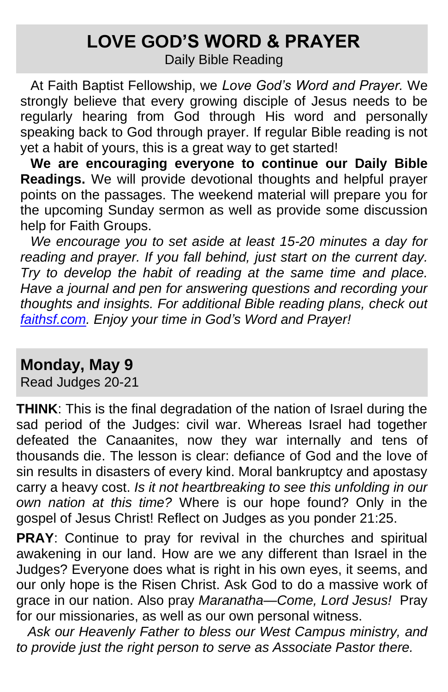# **LOVE GOD'S WORD & PRAYER**

Daily Bible Reading

At Faith Baptist Fellowship, we *Love God's Word and Prayer.* We strongly believe that every growing disciple of Jesus needs to be regularly hearing from God through His word and personally speaking back to God through prayer. If regular Bible reading is not yet a habit of yours, this is a great way to get started!

**We are encouraging everyone to continue our Daily Bible Readings.** We will provide devotional thoughts and helpful prayer points on the passages. The weekend material will prepare you for the upcoming Sunday sermon as well as provide some discussion help for Faith Groups.

*We encourage you to set aside at least 15-20 minutes a day for reading and prayer. If you fall behind, just start on the current day. Try to develop the habit of reading at the same time and place. Have a journal and pen for answering questions and recording your thoughts and insights. For additional Bible reading plans, check out [faithsf.com.](http://www.faithsf.com/) Enjoy your time in God's Word and Prayer!*

# **Monday, May 9**

Read Judges 20-21

**THINK**: This is the final degradation of the nation of Israel during the sad period of the Judges: civil war. Whereas Israel had together defeated the Canaanites, now they war internally and tens of thousands die. The lesson is clear: defiance of God and the love of sin results in disasters of every kind. Moral bankruptcy and apostasy carry a heavy cost. *Is it not heartbreaking to see this unfolding in our own nation at this time?* Where is our hope found? Only in the gospel of Jesus Christ! Reflect on Judges as you ponder 21:25.

**PRAY**: Continue to pray for revival in the churches and spiritual awakening in our land. How are we any different than Israel in the Judges? Everyone does what is right in his own eyes, it seems, and our only hope is the Risen Christ. Ask God to do a massive work of grace in our nation. Also pray *Maranatha—Come, Lord Jesus!* Pray for our missionaries, as well as our own personal witness.

 *Ask our Heavenly Father to bless our West Campus ministry, and to provide just the right person to serve as Associate Pastor there.*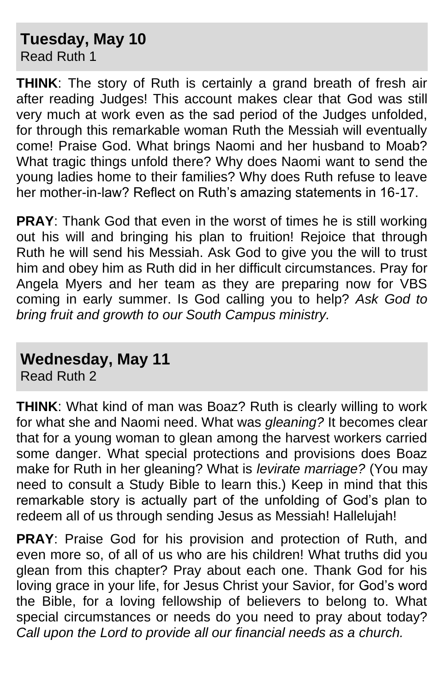#### **Tuesday, May 10** Read Ruth 1

**THINK**: The story of Ruth is certainly a grand breath of fresh air after reading Judges! This account makes clear that God was still very much at work even as the sad period of the Judges unfolded, for through this remarkable woman Ruth the Messiah will eventually come! Praise God. What brings Naomi and her husband to Moab? What tragic things unfold there? Why does Naomi want to send the young ladies home to their families? Why does Ruth refuse to leave her mother-in-law? Reflect on Ruth's amazing statements in 16-17.

**PRAY**: Thank God that even in the worst of times he is still working out his will and bringing his plan to fruition! Rejoice that through Ruth he will send his Messiah. Ask God to give you the will to trust him and obey him as Ruth did in her difficult circumstances. Pray for Angela Myers and her team as they are preparing now for VBS coming in early summer. Is God calling you to help? *Ask God to bring fruit and growth to our South Campus ministry.* 

## **Wednesday, May 11**

Read Ruth 2

**THINK**: What kind of man was Boaz? Ruth is clearly willing to work for what she and Naomi need. What was *gleaning?* It becomes clear that for a young woman to glean among the harvest workers carried some danger. What special protections and provisions does Boaz make for Ruth in her gleaning? What is *levirate marriage?* (You may need to consult a Study Bible to learn this.) Keep in mind that this remarkable story is actually part of the unfolding of God's plan to redeem all of us through sending Jesus as Messiah! Hallelujah!

**PRAY**: Praise God for his provision and protection of Ruth, and even more so, of all of us who are his children! What truths did you glean from this chapter? Pray about each one. Thank God for his loving grace in your life, for Jesus Christ your Savior, for God's word the Bible, for a loving fellowship of believers to belong to. What special circumstances or needs do you need to pray about today? *Call upon the Lord to provide all our financial needs as a church.*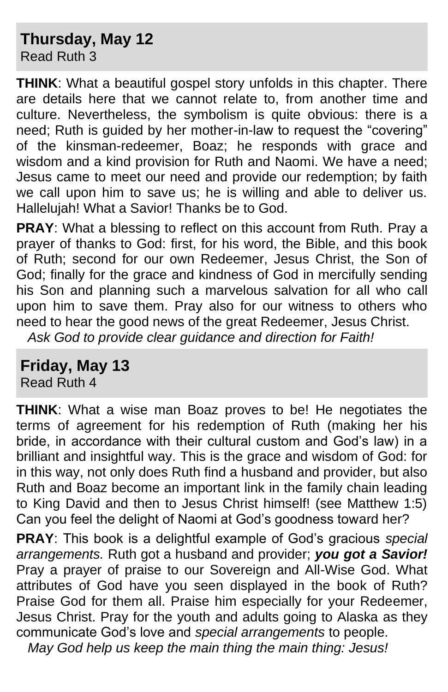#### **Thursday, May 12** Read Ruth 3

**THINK**: What a beautiful gospel story unfolds in this chapter. There are details here that we cannot relate to, from another time and culture. Nevertheless, the symbolism is quite obvious: there is a need; Ruth is guided by her mother-in-law to request the "covering" of the kinsman-redeemer, Boaz; he responds with grace and wisdom and a kind provision for Ruth and Naomi. We have a need; Jesus came to meet our need and provide our redemption; by faith we call upon him to save us; he is willing and able to deliver us. Hallelujah! What a Savior! Thanks be to God.

**PRAY**: What a blessing to reflect on this account from Ruth. Pray a prayer of thanks to God: first, for his word, the Bible, and this book of Ruth; second for our own Redeemer, Jesus Christ, the Son of God; finally for the grace and kindness of God in mercifully sending his Son and planning such a marvelous salvation for all who call upon him to save them. Pray also for our witness to others who need to hear the good news of the great Redeemer, Jesus Christ.

*Ask God to provide clear guidance and direction for Faith!*

**Friday, May 13**

Read Ruth 4

**THINK**: What a wise man Boaz proves to be! He negotiates the terms of agreement for his redemption of Ruth (making her his bride, in accordance with their cultural custom and God's law) in a brilliant and insightful way. This is the grace and wisdom of God: for in this way, not only does Ruth find a husband and provider, but also Ruth and Boaz become an important link in the family chain leading to King David and then to Jesus Christ himself! (see Matthew 1:5) Can you feel the delight of Naomi at God's goodness toward her?

**PRAY**: This book is a delightful example of God's gracious *special arrangements.* Ruth got a husband and provider; *you got a Savior!*  Pray a prayer of praise to our Sovereign and All-Wise God. What attributes of God have you seen displayed in the book of Ruth? Praise God for them all. Praise him especially for your Redeemer, Jesus Christ. Pray for the youth and adults going to Alaska as they communicate God's love and *special arrangements* to people.  *May God help us keep the main thing the main thing: Jesus!*